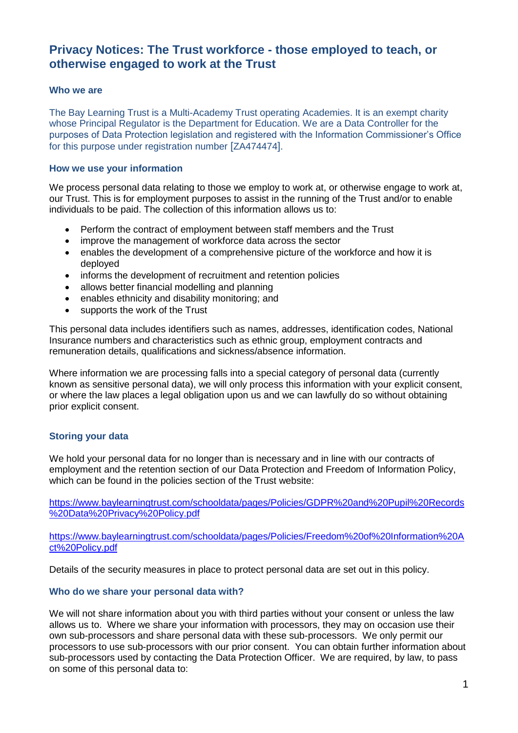# **Privacy Notices: The Trust workforce - those employed to teach, or otherwise engaged to work at the Trust**

#### **Who we are**

The Bay Learning Trust is a Multi-Academy Trust operating Academies. It is an exempt charity whose Principal Regulator is the Department for Education. We are a Data Controller for the purposes of Data Protection legislation and registered with the Information Commissioner's Office for this purpose under registration number [ZA474474].

#### **How we use your information**

We process personal data relating to those we employ to work at, or otherwise engage to work at, our Trust. This is for employment purposes to assist in the running of the Trust and/or to enable individuals to be paid. The collection of this information allows us to:

- Perform the contract of employment between staff members and the Trust
- improve the management of workforce data across the sector
- enables the development of a comprehensive picture of the workforce and how it is deployed
- informs the development of recruitment and retention policies
- allows better financial modelling and planning
- enables ethnicity and disability monitoring; and
- supports the work of the Trust

This personal data includes identifiers such as names, addresses, identification codes, National Insurance numbers and characteristics such as ethnic group, employment contracts and remuneration details, qualifications and sickness/absence information.

Where information we are processing falls into a special category of personal data (currently known as sensitive personal data), we will only process this information with your explicit consent, or where the law places a legal obligation upon us and we can lawfully do so without obtaining prior explicit consent.

## **Storing your data**

We hold your personal data for no longer than is necessary and in line with our contracts of employment and the retention section of our Data Protection and Freedom of Information Policy, which can be found in the policies section of the Trust website:

[https://www.baylearningtrust.com/schooldata/pages/Policies/GDPR%20and%20Pupil%20Records](https://www.baylearningtrust.com/schooldata/pages/Policies/GDPR%20and%20Pupil%20Records%20Data%20Privacy%20Policy.pdf) [%20Data%20Privacy%20Policy.pdf](https://www.baylearningtrust.com/schooldata/pages/Policies/GDPR%20and%20Pupil%20Records%20Data%20Privacy%20Policy.pdf)

[https://www.baylearningtrust.com/schooldata/pages/Policies/Freedom%20of%20Information%20A](https://www.baylearningtrust.com/schooldata/pages/Policies/Freedom%20of%20Information%20Act%20Policy.pdf) [ct%20Policy.pdf](https://www.baylearningtrust.com/schooldata/pages/Policies/Freedom%20of%20Information%20Act%20Policy.pdf)

Details of the security measures in place to protect personal data are set out in this policy.

#### **Who do we share your personal data with?**

We will not share information about you with third parties without your consent or unless the law allows us to. Where we share your information with processors, they may on occasion use their own sub-processors and share personal data with these sub-processors. We only permit our processors to use sub-processors with our prior consent. You can obtain further information about sub-processors used by contacting the Data Protection Officer. We are required, by law, to pass on some of this personal data to: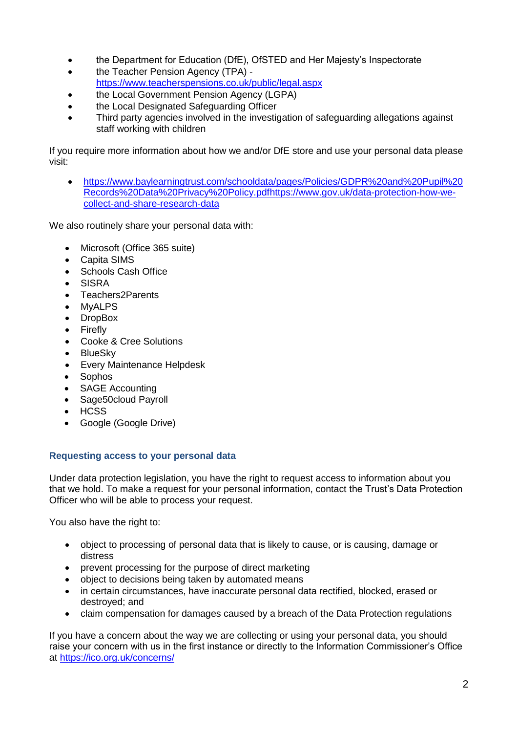- the Department for Education (DfE), OfSTED and Her Majesty's Inspectorate
- the Teacher Pension Agency (TPA) <https://www.teacherspensions.co.uk/public/legal.aspx>
- the Local Government Pension Agency (LGPA)
- the Local Designated Safeguarding Officer
- Third party agencies involved in the investigation of safeguarding allegations against staff working with children

If you require more information about how we and/or DfE store and use your personal data please visit:

 https://www.baylearningtrust.com/schooldata/pages/Policies/GDPR%20and%20Pupil%20 Records%20Data%20Privacy%20Policy.pd[fhttps://www.gov.uk/data-protection-how-we](https://www.gov.uk/data-protection-how-we-collect-and-share-research-data)[collect-and-share-research-data](https://www.gov.uk/data-protection-how-we-collect-and-share-research-data)

We also routinely share your personal data with:

- Microsoft (Office 365 suite)
- Capita SIMS
- Schools Cash Office
- SISRA
- Teachers2Parents
- MyALPS
- DropBox
- **•** Firefly
- Cooke & Cree Solutions
- BlueSky
- Every Maintenance Helpdesk
- Sophos
- SAGE Accounting
- Sage50cloud Payroll
- HCSS
- Google (Google Drive)

## **Requesting access to your personal data**

Under data protection legislation, you have the right to request access to information about you that we hold. To make a request for your personal information, contact the Trust's Data Protection Officer who will be able to process your request.

You also have the right to:

- object to processing of personal data that is likely to cause, or is causing, damage or distress
- prevent processing for the purpose of direct marketing
- object to decisions being taken by automated means
- in certain circumstances, have inaccurate personal data rectified, blocked, erased or destroyed; and
- claim compensation for damages caused by a breach of the Data Protection regulations

If you have a concern about the way we are collecting or using your personal data, you should raise your concern with us in the first instance or directly to the Information Commissioner's Office at<https://ico.org.uk/concerns/>